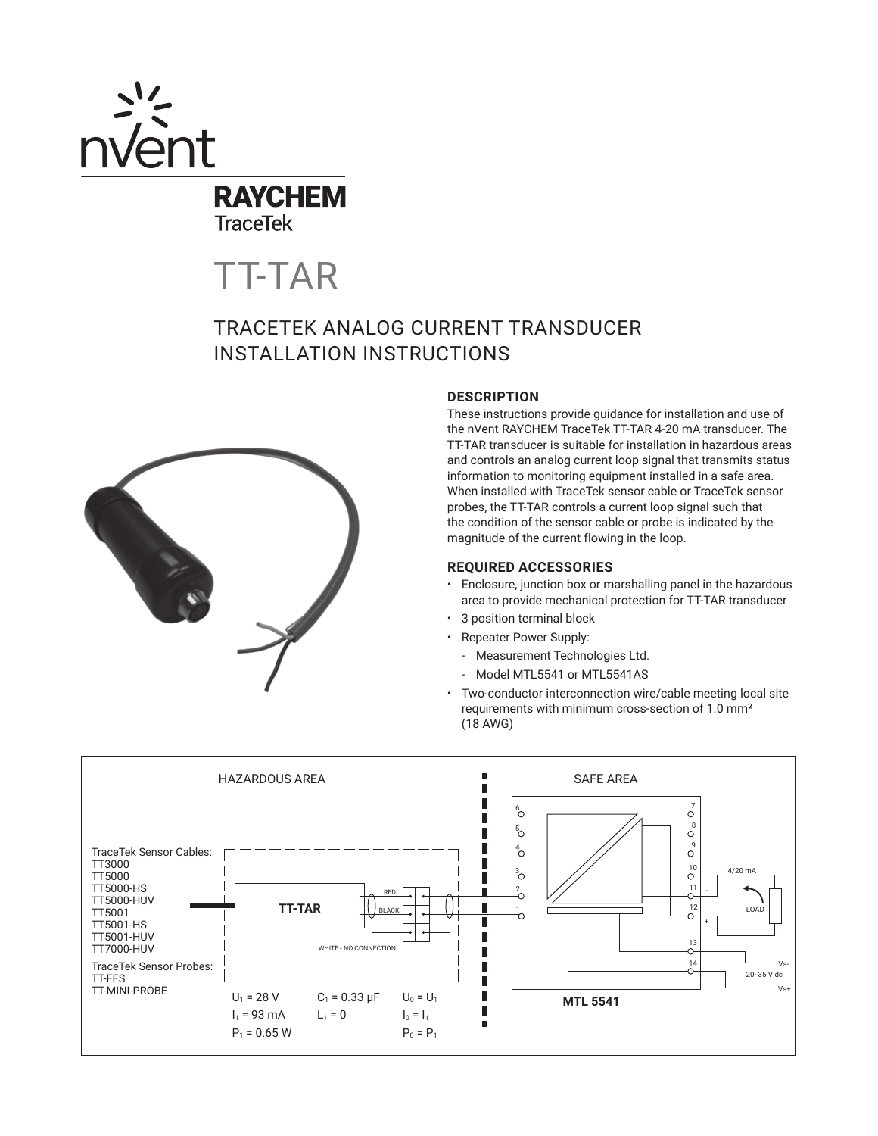

**TraceTek** 

TT-TAR

# TRACETEK ANALOG CURRENT TRANSDUCER INSTALLATION INSTRUCTIONS



# **DESCRIPTION**

These instructions provide guidance for installation and use of the nVent RAYCHEM TraceTek TT-TAR 4-20 mA transducer. The TT-TAR transducer is suitable for installation in hazardous areas and controls an analog current loop signal that transmits status information to monitoring equipment installed in a safe area. When installed with TraceTek sensor cable or TraceTek sensor probes, the TT-TAR controls a current loop signal such that the condition of the sensor cable or probe is indicated by the magnitude of the current flowing in the loop.

### **REQUIRED ACCESSORIES**

- Enclosure, junction box or marshalling panel in the hazardous area to provide mechanical protection for TT-TAR transducer
- 3 position terminal block
- Repeater Power Supply:
	- Measurement Technologies Ltd.
	- Model MTL5541 or MTL5541AS
- Two-conductor interconnection wire/cable meeting local site requirements with minimum cross-section of 1.0 mm² (18 AWG)